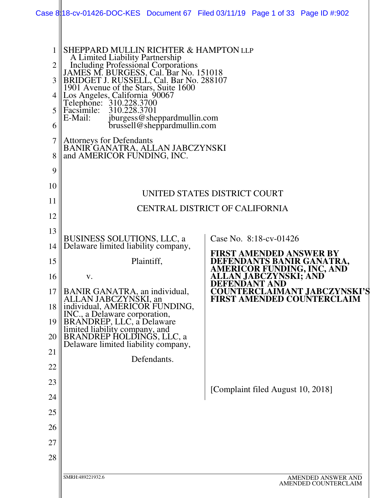|                                                         |                                                                                                                                                                                                                                                                                                                                                                                                                                                                                                                    | Case 8:18-cv-01426-DOC-KES Document 67 Filed 03/11/19 Page 1 of 33 Page ID #:902 |
|---------------------------------------------------------|--------------------------------------------------------------------------------------------------------------------------------------------------------------------------------------------------------------------------------------------------------------------------------------------------------------------------------------------------------------------------------------------------------------------------------------------------------------------------------------------------------------------|----------------------------------------------------------------------------------|
| $\overline{2}$<br>3<br>4<br>5<br>6<br>7<br>8<br>9<br>10 | SHEPPARD MULLIN RICHTER & HAMPTON LLP<br>A Limited Liability Partnership<br>Including Professional Corporations<br>JAMES M. BURGESS, Cal. Bar No. 151018<br>BRIDGET J. RUSSELL, Cal. Bar No. 288107<br>1901 Avenue of the Stars, Suite 1600<br>Los Angeles, California 90067<br>Telephone: 310.228.3700<br>Facsimile:<br>310.228.3701<br>E-Mail:<br>jburgess@sheppardmullin.com<br>brussell@sheppardmullin.com<br><b>Attorneys for Defendants</b><br>BANIR GANATRA, ALLAN JABCZYNSKI<br>and AMERICOR FUNDING, INC. |                                                                                  |
| 11                                                      |                                                                                                                                                                                                                                                                                                                                                                                                                                                                                                                    | UNITED STATES DISTRICT COURT                                                     |
| 12                                                      |                                                                                                                                                                                                                                                                                                                                                                                                                                                                                                                    | <b>CENTRAL DISTRICT OF CALIFORNIA</b>                                            |
| 13                                                      |                                                                                                                                                                                                                                                                                                                                                                                                                                                                                                                    |                                                                                  |
| 14                                                      | <b>BUSINESS SOLUTIONS, LLC, a</b><br>Delaware limited liability company,                                                                                                                                                                                                                                                                                                                                                                                                                                           | Case No. 8:18-cv-01426                                                           |
| 15                                                      | Plaintiff,                                                                                                                                                                                                                                                                                                                                                                                                                                                                                                         | <b>FIRST AMENDED ANSWER BY</b>                                                   |
| 16                                                      | V.                                                                                                                                                                                                                                                                                                                                                                                                                                                                                                                 | DEFENDANTS BANIR GANATRA,<br>AMERICOR FUNDING, INC, AND<br>ALLAN JABCZYNSKI; AND |
| 17                                                      | BANIR GANATRA, an individual,                                                                                                                                                                                                                                                                                                                                                                                                                                                                                      | <b>DEFENDANT AND</b><br><b>COUNTERCLAIMANT JABCZYNSKI'S</b>                      |
| 18                                                      | ALLAN JABCZYNSKI, an<br>individual, AMERICOR FUNDING,                                                                                                                                                                                                                                                                                                                                                                                                                                                              | <b>FIRST AMENDED COUNTERCLAIM</b>                                                |
| 19                                                      | INC., a Delaware corporation,<br>BRANDREP, LLC, a Delaware                                                                                                                                                                                                                                                                                                                                                                                                                                                         |                                                                                  |
| 20                                                      | limited liability company, and<br>BRANDREP HOLDINGS, LLC, a                                                                                                                                                                                                                                                                                                                                                                                                                                                        |                                                                                  |
| 21                                                      | Delaware limited liability company,                                                                                                                                                                                                                                                                                                                                                                                                                                                                                |                                                                                  |
| 22                                                      | Defendants.                                                                                                                                                                                                                                                                                                                                                                                                                                                                                                        |                                                                                  |
| 23                                                      |                                                                                                                                                                                                                                                                                                                                                                                                                                                                                                                    |                                                                                  |
| 24                                                      |                                                                                                                                                                                                                                                                                                                                                                                                                                                                                                                    | [Complaint filed August 10, 2018]                                                |
| 25                                                      |                                                                                                                                                                                                                                                                                                                                                                                                                                                                                                                    |                                                                                  |
| 26                                                      |                                                                                                                                                                                                                                                                                                                                                                                                                                                                                                                    |                                                                                  |
| 27                                                      |                                                                                                                                                                                                                                                                                                                                                                                                                                                                                                                    |                                                                                  |
| 28                                                      |                                                                                                                                                                                                                                                                                                                                                                                                                                                                                                                    |                                                                                  |
|                                                         | SMRH:489221932.6                                                                                                                                                                                                                                                                                                                                                                                                                                                                                                   | AMENDED ANSWER AND<br>AMENDED COUNTERCLAIM                                       |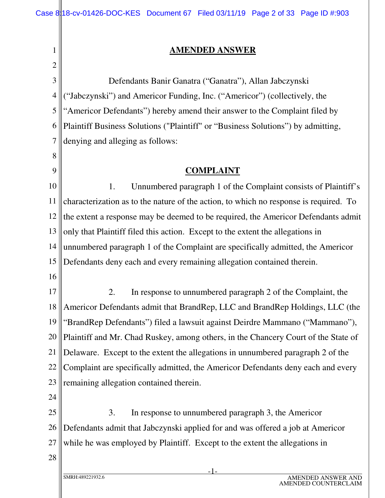#### **AMENDED ANSWER**

| 1              | <b>AMENDED ANSWER</b>                                                                 |
|----------------|---------------------------------------------------------------------------------------|
| $\overline{2}$ |                                                                                       |
| 3              | Defendants Banir Ganatra ("Ganatra"), Allan Jabczynski                                |
| $\overline{4}$ | ("Jabczynski") and Americor Funding, Inc. ("Americor") (collectively, the             |
| 5              | "Americor Defendants") hereby amend their answer to the Complaint filed by            |
| 6              | Plaintiff Business Solutions ("Plaintiff" or "Business Solutions") by admitting,      |
| 7              | denying and alleging as follows:                                                      |
| 8              |                                                                                       |
| 9              | <b>COMPLAINT</b>                                                                      |
| 10             | Unnumbered paragraph 1 of the Complaint consists of Plaintiff's<br>1.                 |
| 11             | characterization as to the nature of the action, to which no response is required. To |
| 12             | the extent a response may be deemed to be required, the Americor Defendants admit     |
| 13             | only that Plaintiff filed this action. Except to the extent the allegations in        |
| 14             | unnumbered paragraph 1 of the Complaint are specifically admitted, the Americor       |
| 15             | Defendants deny each and every remaining allegation contained therein.                |
| 16             |                                                                                       |
| 17             | In response to unnumbered paragraph 2 of the Complaint, the<br>2.                     |
| 18             | Americor Defendants admit that BrandRep, LLC and BrandRep Holdings, LLC (the          |
| 19             | "BrandRep Defendants") filed a lawsuit against Deirdre Mammano ("Mammano"),           |
| 20             | Plaintiff and Mr. Chad Ruskey, among others, in the Chancery Court of the State of    |
| 21             | Delaware. Except to the extent the allegations in unnumbered paragraph 2 of the       |
| 22             | Complaint are specifically admitted, the Americor Defendants deny each and every      |
| 23             | remaining allegation contained therein.                                               |
| 24             |                                                                                       |
| 25             | 3.<br>In response to unnumbered paragraph 3, the Americor                             |
| 26             | Defendants admit that Jabczynski applied for and was offered a job at Americor        |
| 27             | while he was employed by Plaintiff. Except to the extent the allegations in           |
| 28             |                                                                                       |
|                |                                                                                       |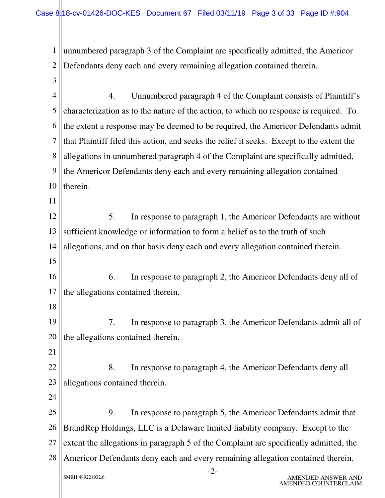1 2 unnumbered paragraph 3 of the Complaint are specifically admitted, the Americor Defendants deny each and every remaining allegation contained therein.

4 5 6 7 8 9 10 11 12 13 14 15 16 17 18 4. Unnumbered paragraph 4 of the Complaint consists of Plaintiff's characterization as to the nature of the action, to which no response is required. To the extent a response may be deemed to be required, the Americor Defendants admit that Plaintiff filed this action, and seeks the relief it seeks. Except to the extent the allegations in unnumbered paragraph 4 of the Complaint are specifically admitted, the Americor Defendants deny each and every remaining allegation contained therein. 5. In response to paragraph 1, the Americor Defendants are without sufficient knowledge or information to form a belief as to the truth of such allegations, and on that basis deny each and every allegation contained therein. 6. In response to paragraph 2, the Americor Defendants deny all of the allegations contained therein.

19 20 7. In response to paragraph 3, the Americor Defendants admit all of the allegations contained therein.

21

3

22 23 8. In response to paragraph 4, the Americor Defendants deny all allegations contained therein.

24

25 26 27 28 9. In response to paragraph 5, the Americor Defendants admit that BrandRep Holdings, LLC is a Delaware limited liability company. Except to the extent the allegations in paragraph 5 of the Complaint are specifically admitted, the Americor Defendants deny each and every remaining allegation contained therein.

-2-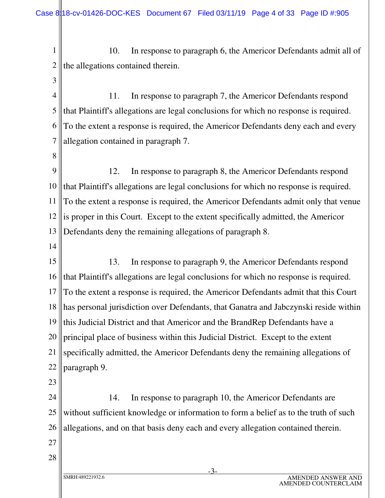1 2 10. In response to paragraph 6, the Americor Defendants admit all of the allegations contained therein.

4 5 6 7 11. In response to paragraph 7, the Americor Defendants respond that Plaintiff's allegations are legal conclusions for which no response is required. To the extent a response is required, the Americor Defendants deny each and every allegation contained in paragraph 7.

8

3

9 10 11 12 13 12. In response to paragraph 8, the Americor Defendants respond that Plaintiff's allegations are legal conclusions for which no response is required. To the extent a response is required, the Americor Defendants admit only that venue is proper in this Court. Except to the extent specifically admitted, the Americor Defendants deny the remaining allegations of paragraph 8.

14

15 16 17 18 19 20 21 22 13. In response to paragraph 9, the Americor Defendants respond that Plaintiff's allegations are legal conclusions for which no response is required. To the extent a response is required, the Americor Defendants admit that this Court has personal jurisdiction over Defendants, that Ganatra and Jabczynski reside within this Judicial District and that Americor and the BrandRep Defendants have a principal place of business within this Judicial District. Except to the extent specifically admitted, the Americor Defendants deny the remaining allegations of paragraph 9.

23

24 25 26 14. In response to paragraph 10, the Americor Defendants are without sufficient knowledge or information to form a belief as to the truth of such allegations, and on that basis deny each and every allegation contained therein.

- 27
- 28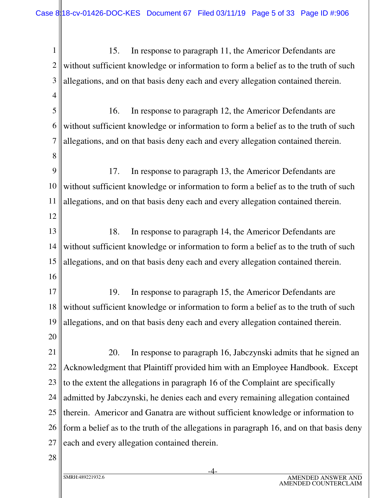1 2 3 4 5 6 7 8 9 10 11 12 13 14 15 16 17 18 19 20 21 22 23 24 25 26 27 28 15. In response to paragraph 11, the Americor Defendants are without sufficient knowledge or information to form a belief as to the truth of such allegations, and on that basis deny each and every allegation contained therein. 16. In response to paragraph 12, the Americor Defendants are without sufficient knowledge or information to form a belief as to the truth of such allegations, and on that basis deny each and every allegation contained therein. 17. In response to paragraph 13, the Americor Defendants are without sufficient knowledge or information to form a belief as to the truth of such allegations, and on that basis deny each and every allegation contained therein. 18. In response to paragraph 14, the Americor Defendants are without sufficient knowledge or information to form a belief as to the truth of such allegations, and on that basis deny each and every allegation contained therein. 19. In response to paragraph 15, the Americor Defendants are without sufficient knowledge or information to form a belief as to the truth of such allegations, and on that basis deny each and every allegation contained therein. 20. In response to paragraph 16, Jabczynski admits that he signed an Acknowledgment that Plaintiff provided him with an Employee Handbook. Except to the extent the allegations in paragraph 16 of the Complaint are specifically admitted by Jabczynski, he denies each and every remaining allegation contained therein. Americor and Ganatra are without sufficient knowledge or information to form a belief as to the truth of the allegations in paragraph 16, and on that basis deny each and every allegation contained therein.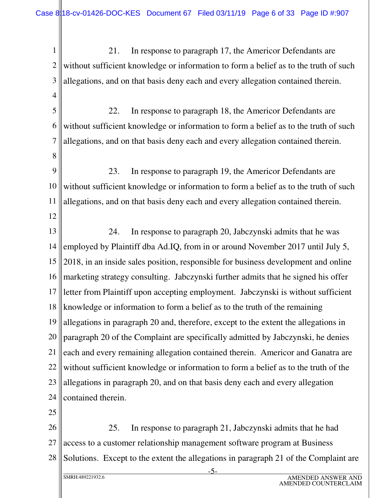1 2 3 4 5 6 7 8 9 10 11 12 13 14 15 16 17 18 19 20 21 22 23 24 25 26 21. In response to paragraph 17, the Americor Defendants are without sufficient knowledge or information to form a belief as to the truth of such allegations, and on that basis deny each and every allegation contained therein. 22. In response to paragraph 18, the Americor Defendants are without sufficient knowledge or information to form a belief as to the truth of such allegations, and on that basis deny each and every allegation contained therein. 23. In response to paragraph 19, the Americor Defendants are without sufficient knowledge or information to form a belief as to the truth of such allegations, and on that basis deny each and every allegation contained therein. 24. In response to paragraph 20, Jabczynski admits that he was employed by Plaintiff dba Ad.IQ, from in or around November 2017 until July 5, 2018, in an inside sales position, responsible for business development and online marketing strategy consulting. Jabczynski further admits that he signed his offer letter from Plaintiff upon accepting employment. Jabczynski is without sufficient knowledge or information to form a belief as to the truth of the remaining allegations in paragraph 20 and, therefore, except to the extent the allegations in paragraph 20 of the Complaint are specifically admitted by Jabczynski, he denies each and every remaining allegation contained therein. Americor and Ganatra are without sufficient knowledge or information to form a belief as to the truth of the allegations in paragraph 20, and on that basis deny each and every allegation contained therein. 25. In response to paragraph 21, Jabczynski admits that he had

27 28 access to a customer relationship management software program at Business Solutions. Except to the extent the allegations in paragraph 21 of the Complaint are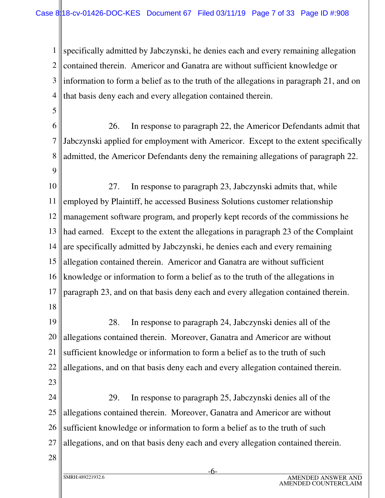1 2 3 4 specifically admitted by Jabczynski, he denies each and every remaining allegation contained therein. Americor and Ganatra are without sufficient knowledge or information to form a belief as to the truth of the allegations in paragraph 21, and on that basis deny each and every allegation contained therein.

- 6 7 8 9 26. In response to paragraph 22, the Americor Defendants admit that Jabczynski applied for employment with Americor. Except to the extent specifically admitted, the Americor Defendants deny the remaining allegations of paragraph 22.
- 10 11 12 13 14 15 16 17 18 27. In response to paragraph 23, Jabczynski admits that, while employed by Plaintiff, he accessed Business Solutions customer relationship management software program, and properly kept records of the commissions he had earned. Except to the extent the allegations in paragraph 23 of the Complaint are specifically admitted by Jabczynski, he denies each and every remaining allegation contained therein. Americor and Ganatra are without sufficient knowledge or information to form a belief as to the truth of the allegations in paragraph 23, and on that basis deny each and every allegation contained therein.
- 19 20 21 22 23 28. In response to paragraph 24, Jabczynski denies all of the allegations contained therein. Moreover, Ganatra and Americor are without sufficient knowledge or information to form a belief as to the truth of such allegations, and on that basis deny each and every allegation contained therein.
- 24 25 26 27 29. In response to paragraph 25, Jabczynski denies all of the allegations contained therein. Moreover, Ganatra and Americor are without sufficient knowledge or information to form a belief as to the truth of such allegations, and on that basis deny each and every allegation contained therein.
- 28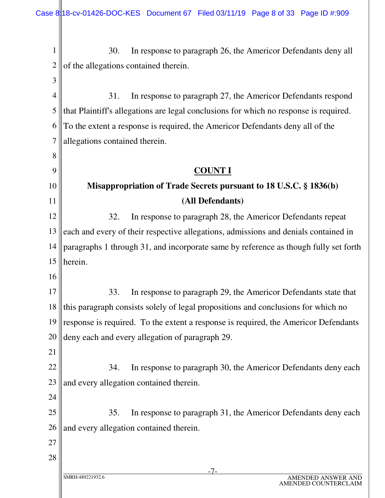-7- SMRH:489221932.6 AMENDED ANSWER AND 1 2 3 4 5 6 7 8 9 10 11 12 13 14 15 16 17 18 19 20 21 22 23 24 25 26 27 28 30. In response to paragraph 26, the Americor Defendants deny all of the allegations contained therein. 31. In response to paragraph 27, the Americor Defendants respond that Plaintiff's allegations are legal conclusions for which no response is required. To the extent a response is required, the Americor Defendants deny all of the allegations contained therein. **COUNT I Misappropriation of Trade Secrets pursuant to 18 U.S.C. § 1836(b) (All Defendants)** 32. In response to paragraph 28, the Americor Defendants repeat each and every of their respective allegations, admissions and denials contained in paragraphs 1 through 31, and incorporate same by reference as though fully set forth herein. 33. In response to paragraph 29, the Americor Defendants state that this paragraph consists solely of legal propositions and conclusions for which no response is required. To the extent a response is required, the Americor Defendants deny each and every allegation of paragraph 29. 34. In response to paragraph 30, the Americor Defendants deny each and every allegation contained therein. 35. In response to paragraph 31, the Americor Defendants deny each and every allegation contained therein.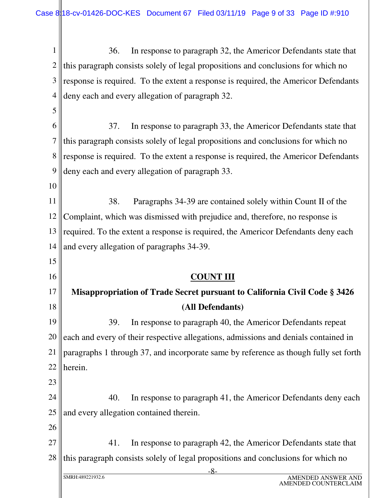-8- SMRH:489221932.6 AMENDED ANSWER AND AMENDED COUNTERCLAIM 1 2 3 4 5 6 7 8 9 10 11 12 13 14 15 16 17 18 19 20 21 22 23 24 25 26 27 28 36. In response to paragraph 32, the Americor Defendants state that this paragraph consists solely of legal propositions and conclusions for which no response is required. To the extent a response is required, the Americor Defendants deny each and every allegation of paragraph 32. 37. In response to paragraph 33, the Americor Defendants state that this paragraph consists solely of legal propositions and conclusions for which no response is required. To the extent a response is required, the Americor Defendants deny each and every allegation of paragraph 33. 38. Paragraphs 34-39 are contained solely within Count II of the Complaint, which was dismissed with prejudice and, therefore, no response is required. To the extent a response is required, the Americor Defendants deny each and every allegation of paragraphs 34-39. **COUNT III Misappropriation of Trade Secret pursuant to California Civil Code § 3426 (All Defendants)** 39. In response to paragraph 40, the Americor Defendants repeat each and every of their respective allegations, admissions and denials contained in paragraphs 1 through 37, and incorporate same by reference as though fully set forth herein. 40. In response to paragraph 41, the Americor Defendants deny each and every allegation contained therein. 41. In response to paragraph 42, the Americor Defendants state that this paragraph consists solely of legal propositions and conclusions for which no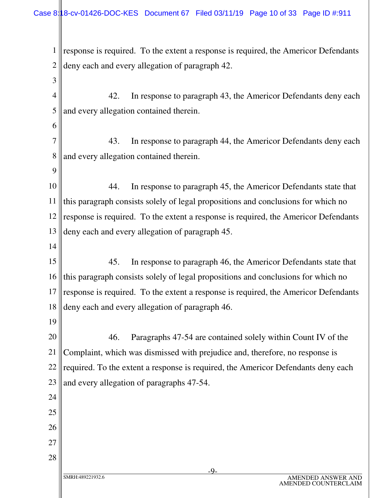1 2 3 4 5 6 7 8 9 10 11 12 13 14 15 16 17 18 19 20 21 22 23 24 25 response is required. To the extent a response is required, the Americor Defendants deny each and every allegation of paragraph 42. 42. In response to paragraph 43, the Americor Defendants deny each and every allegation contained therein. 43. In response to paragraph 44, the Americor Defendants deny each and every allegation contained therein. 44. In response to paragraph 45, the Americor Defendants state that this paragraph consists solely of legal propositions and conclusions for which no response is required. To the extent a response is required, the Americor Defendants deny each and every allegation of paragraph 45. 45. In response to paragraph 46, the Americor Defendants state that this paragraph consists solely of legal propositions and conclusions for which no response is required. To the extent a response is required, the Americor Defendants deny each and every allegation of paragraph 46. 46. Paragraphs 47-54 are contained solely within Count IV of the Complaint, which was dismissed with prejudice and, therefore, no response is required. To the extent a response is required, the Americor Defendants deny each and every allegation of paragraphs 47-54.

26

27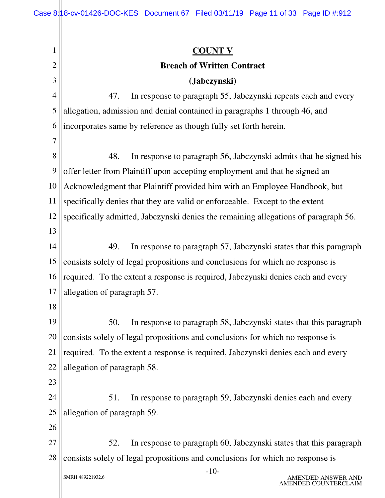-10- SMRH:489221932.6 AMENDED ANSWER AND AMENDED COUNTERCLAIM 1 2 3 4 5 6 7 8 9 10 11 12 13 14 15 16 17 18 19 20 21 22 23 24 25 26 27 28 **COUNT V Breach of Written Contract (Jabczynski)** 47. In response to paragraph 55, Jabczynski repeats each and every allegation, admission and denial contained in paragraphs 1 through 46, and incorporates same by reference as though fully set forth herein. 48. In response to paragraph 56, Jabczynski admits that he signed his offer letter from Plaintiff upon accepting employment and that he signed an Acknowledgment that Plaintiff provided him with an Employee Handbook, but specifically denies that they are valid or enforceable. Except to the extent specifically admitted, Jabczynski denies the remaining allegations of paragraph 56. 49. In response to paragraph 57, Jabczynski states that this paragraph consists solely of legal propositions and conclusions for which no response is required. To the extent a response is required, Jabczynski denies each and every allegation of paragraph 57. 50. In response to paragraph 58, Jabczynski states that this paragraph consists solely of legal propositions and conclusions for which no response is required. To the extent a response is required, Jabczynski denies each and every allegation of paragraph 58. 51. In response to paragraph 59, Jabczynski denies each and every allegation of paragraph 59. 52. In response to paragraph 60, Jabczynski states that this paragraph consists solely of legal propositions and conclusions for which no response is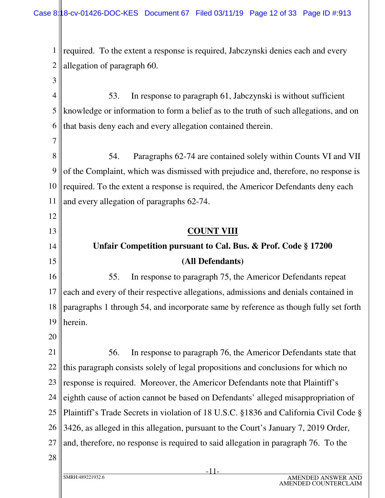1 2 required. To the extent a response is required, Jabczynski denies each and every allegation of paragraph 60.

4 5 6 53. In response to paragraph 61, Jabczynski is without sufficient knowledge or information to form a belief as to the truth of such allegations, and on that basis deny each and every allegation contained therein.

8 9 10 11 54. Paragraphs 62-74 are contained solely within Counts VI and VII of the Complaint, which was dismissed with prejudice and, therefore, no response is required. To the extent a response is required, the Americor Defendants deny each and every allegation of paragraphs 62-74.

**COUNT VIII** 

# **Unfair Competition pursuant to Cal. Bus. & Prof. Code § 17200 (All Defendants)**

16 17 18 19 55. In response to paragraph 75, the Americor Defendants repeat each and every of their respective allegations, admissions and denials contained in paragraphs 1 through 54, and incorporate same by reference as though fully set forth herein.

20

3

7

12

13

14

15

21 22 23 24 25 26 27 56. In response to paragraph 76, the Americor Defendants state that this paragraph consists solely of legal propositions and conclusions for which no response is required. Moreover, the Americor Defendants note that Plaintiff's eighth cause of action cannot be based on Defendants' alleged misappropriation of Plaintiff's Trade Secrets in violation of 18 U.S.C. §1836 and California Civil Code § 3426, as alleged in this allegation, pursuant to the Court's January 7, 2019 Order, and, therefore, no response is required to said allegation in paragraph 76. To the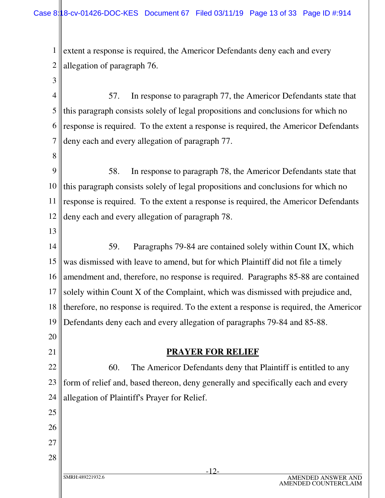1 2 extent a response is required, the Americor Defendants deny each and every allegation of paragraph 76.

4 5 6 7 57. In response to paragraph 77, the Americor Defendants state that this paragraph consists solely of legal propositions and conclusions for which no response is required. To the extent a response is required, the Americor Defendants deny each and every allegation of paragraph 77.

- 9 10 11 12 58. In response to paragraph 78, the Americor Defendants state that this paragraph consists solely of legal propositions and conclusions for which no response is required. To the extent a response is required, the Americor Defendants deny each and every allegation of paragraph 78.
- 13

20

21

25

26

27

3

8

14 15 16 17 18 19 59. Paragraphs 79-84 are contained solely within Count IX, which was dismissed with leave to amend, but for which Plaintiff did not file a timely amendment and, therefore, no response is required. Paragraphs 85-88 are contained solely within Count X of the Complaint, which was dismissed with prejudice and, therefore, no response is required. To the extent a response is required, the Americor Defendants deny each and every allegation of paragraphs 79-84 and 85-88.

#### **PRAYER FOR RELIEF**

22 23 24 60. The Americor Defendants deny that Plaintiff is entitled to any form of relief and, based thereon, deny generally and specifically each and every allegation of Plaintiff's Prayer for Relief.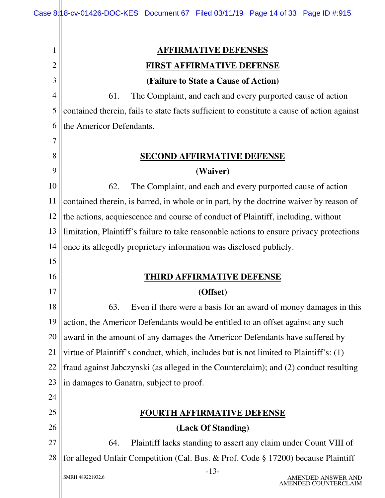| 1              | <u>AFFIRMATIVE DEFENSES</u>                                                                |
|----------------|--------------------------------------------------------------------------------------------|
| 2              | <b>FIRST AFFIRMATIVE DEFENSE</b>                                                           |
| 3              | (Failure to State a Cause of Action)                                                       |
| $\overline{4}$ | 61.<br>The Complaint, and each and every purported cause of action                         |
| 5              | contained therein, fails to state facts sufficient to constitute a cause of action against |
| 6              | the Americor Defendants.                                                                   |
| 7              |                                                                                            |
| 8              | <b>SECOND AFFIRMATIVE DEFENSE</b>                                                          |
| 9              | (Waiver)                                                                                   |
| 10             | 62.<br>The Complaint, and each and every purported cause of action                         |
| 11             | contained therein, is barred, in whole or in part, by the doctrine waiver by reason of     |
| 12             | the actions, acquiescence and course of conduct of Plaintiff, including, without           |
| 13             | limitation, Plaintiff's failure to take reasonable actions to ensure privacy protections   |
| 14             | once its allegedly proprietary information was disclosed publicly.                         |
| 15             |                                                                                            |
| 16             | <b>THIRD AFFIRMATIVE DEFENSE</b>                                                           |
| 17             | (Offset)                                                                                   |
| 18             | 63.<br>Even if there were a basis for an award of money damages in this                    |
| 19             | action, the Americor Defendants would be entitled to an offset against any such            |
| 20             | award in the amount of any damages the Americor Defendants have suffered by                |
| 21             | virtue of Plaintiff's conduct, which, includes but is not limited to Plaintiff's: (1)      |
| 22             | fraud against Jabczynski (as alleged in the Counterclaim); and (2) conduct resulting       |
| 23             | in damages to Ganatra, subject to proof.                                                   |
| 24             |                                                                                            |
| 25             | <b>FOURTH AFFIRMATIVE DEFENSE</b>                                                          |
| 26             | (Lack Of Standing)                                                                         |
| 27             | 64.<br>Plaintiff lacks standing to assert any claim under Count VIII of                    |
| 28             | for alleged Unfair Competition (Cal. Bus. & Prof. Code § 17200) because Plaintiff          |
|                | $-13-$<br>SMRH:489221932.6<br><b>AMENDED ANSWER AND</b>                                    |

 $\parallel$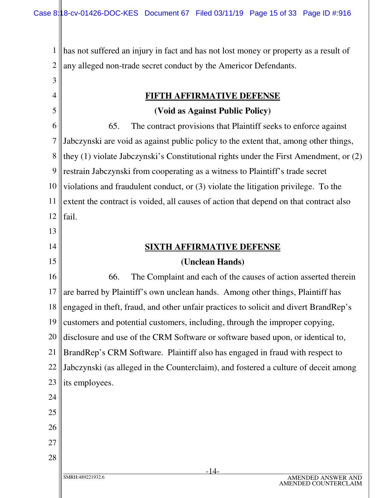1 2 has not suffered an injury in fact and has not lost money or property as a result of any alleged non-trade secret conduct by the Americor Defendants.

**FIFTH AFFIRMATIVE DEFENSE**

#### **(Void as Against Public Policy)**

6 7 8 9 10 11 12 13 14 15 16 17 18 19 20 21 22 23 24 25 26 65. The contract provisions that Plaintiff seeks to enforce against Jabczynski are void as against public policy to the extent that, among other things, they (1) violate Jabczynski's Constitutional rights under the First Amendment, or (2) restrain Jabczynski from cooperating as a witness to Plaintiff's trade secret violations and fraudulent conduct, or (3) violate the litigation privilege. To the extent the contract is voided, all causes of action that depend on that contract also fail. **SIXTH AFFIRMATIVE DEFENSE (Unclean Hands)** 66. The Complaint and each of the causes of action asserted therein are barred by Plaintiff's own unclean hands. Among other things, Plaintiff has engaged in theft, fraud, and other unfair practices to solicit and divert BrandRep's customers and potential customers, including, through the improper copying, disclosure and use of the CRM Software or software based upon, or identical to, BrandRep's CRM Software. Plaintiff also has engaged in fraud with respect to Jabczynski (as alleged in the Counterclaim), and fostered a culture of deceit among its employees.

27 28

3

4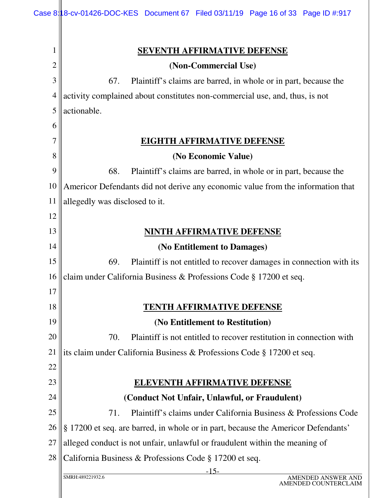| 1  | <b>SEVENTH AFFIRMATIVE DEFENSE</b>                                                |
|----|-----------------------------------------------------------------------------------|
| 2  | (Non-Commercial Use)                                                              |
| 3  | Plaintiff's claims are barred, in whole or in part, because the<br>67.            |
| 4  | activity complained about constitutes non-commercial use, and, thus, is not       |
| 5  | actionable.                                                                       |
| 6  |                                                                                   |
|    | <b>EIGHTH AFFIRMATIVE DEFENSE</b>                                                 |
| 8  | (No Economic Value)                                                               |
| 9  | 68.<br>Plaintiff's claims are barred, in whole or in part, because the            |
| 10 | Americor Defendants did not derive any economic value from the information that   |
| 11 | allegedly was disclosed to it.                                                    |
| 12 |                                                                                   |
| 13 | NINTH AFFIRMATIVE DEFENSE                                                         |
| 14 | (No Entitlement to Damages)                                                       |
| 15 | 69.<br>Plaintiff is not entitled to recover damages in connection with its        |
| 16 | claim under California Business & Professions Code § 17200 et seq.                |
| 17 |                                                                                   |
| 18 | TENTH AFFIRMATIVE DEFENSE                                                         |
| 19 | (No Entitlement to Restitution)                                                   |
| 20 | 70.<br>Plaintiff is not entitled to recover restitution in connection with        |
| 21 | its claim under California Business & Professions Code § 17200 et seq.            |
| 22 |                                                                                   |
| 23 | <b>ELEVENTH AFFIRMATIVE DEFENSE</b>                                               |
| 24 | (Conduct Not Unfair, Unlawful, or Fraudulent)                                     |
| 25 | Plaintiff's claims under California Business & Professions Code<br>71.            |
| 26 | § 17200 et seq. are barred, in whole or in part, because the Americor Defendants' |
| 27 | alleged conduct is not unfair, unlawful or fraudulent within the meaning of       |
| 28 | California Business & Professions Code § 17200 et seq.                            |
|    | $-15-$<br>SMRH:489221932.6<br><b>AMENDED ANSWER</b><br><b>AMENDED COUNTERCI</b>   |
|    |                                                                                   |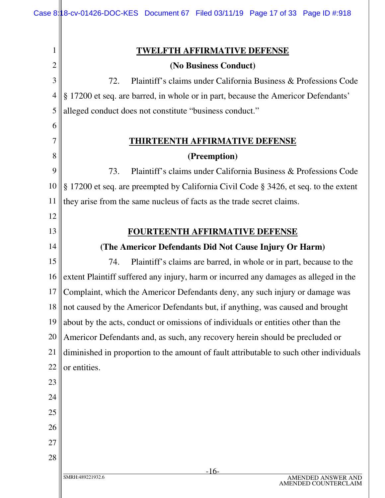| 1              | <b>TWELFTH AFFIRMATIVE DEFENSE</b>                                                     |
|----------------|----------------------------------------------------------------------------------------|
| 2              | (No Business Conduct)                                                                  |
| 3              | 72.<br>Plaintiff's claims under California Business & Professions Code                 |
| $\overline{4}$ | § 17200 et seq. are barred, in whole or in part, because the Americor Defendants'      |
| 5              | alleged conduct does not constitute "business conduct."                                |
| 6              |                                                                                        |
| 7              | <b>THIRTEENTH AFFIRMATIVE DEFENSE</b>                                                  |
| 8              | (Preemption)                                                                           |
| 9              | Plaintiff's claims under California Business & Professions Code<br>73.                 |
| 10             | § 17200 et seq. are preempted by California Civil Code § 3426, et seq. to the extent   |
| 11             | they arise from the same nucleus of facts as the trade secret claims.                  |
| 12             |                                                                                        |
| 13             | <b>FOURTEENTH AFFIRMATIVE DEFENSE</b>                                                  |
| 14             | (The Americor Defendants Did Not Cause Injury Or Harm)                                 |
| 15             | 74.<br>Plaintiff's claims are barred, in whole or in part, because to the              |
| 16             | extent Plaintiff suffered any injury, harm or incurred any damages as alleged in the   |
| 17             | Complaint, which the Americor Defendants deny, any such injury or damage was           |
| 18             | not caused by the Americor Defendants but, if anything, was caused and brought         |
| 19             | about by the acts, conduct or omissions of individuals or entities other than the      |
| 20             | Americor Defendants and, as such, any recovery herein should be precluded or           |
| 21             | diminished in proportion to the amount of fault attributable to such other individuals |
| 22             | or entities.                                                                           |
| 23             |                                                                                        |
| 24             |                                                                                        |
| 25             |                                                                                        |
| 26             |                                                                                        |
| 27             |                                                                                        |
| 28             |                                                                                        |
|                | $-16-$<br>SMRH:489221932.6<br>AMENDED ANSWER AND                                       |
|                | AMENDED COUNTERCLAIM                                                                   |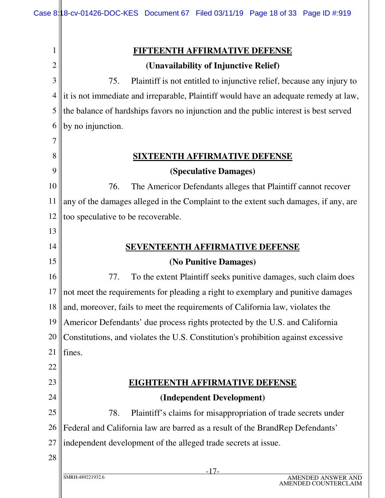|                | <u>FIFTEENTH AFFIRMATIVE DEFENSE</u>                                                 |
|----------------|--------------------------------------------------------------------------------------|
| 2              | (Unavailability of Injunctive Relief)                                                |
| 3              | Plaintiff is not entitled to injunctive relief, because any injury to<br>75.         |
| $\overline{4}$ | it is not immediate and irreparable, Plaintiff would have an adequate remedy at law, |
| 5              | the balance of hardships favors no injunction and the public interest is best served |
| 6              | by no injunction.                                                                    |
| 7              |                                                                                      |
| 8              | <b>SIXTEENTH AFFIRMATIVE DEFENSE</b>                                                 |
| 9              | (Speculative Damages)                                                                |
| 10             | The Americor Defendants alleges that Plaintiff cannot recover<br>76.                 |
| 11             | any of the damages alleged in the Complaint to the extent such damages, if any, are  |
| 12             | too speculative to be recoverable.                                                   |
| 13             |                                                                                      |
| 14             | <b>SEVENTEENTH AFFIRMATIVE DEFENSE</b>                                               |
| 15             | (No Punitive Damages)                                                                |
| 16             | To the extent Plaintiff seeks punitive damages, such claim does<br>77.               |
| 17             | not meet the requirements for pleading a right to exemplary and punitive damages     |
| 18             | and, moreover, fails to meet the requirements of California law, violates the        |
| 19             | Americor Defendants' due process rights protected by the U.S. and California         |
| 20             | Constitutions, and violates the U.S. Constitution's prohibition against excessive    |
| 21             | fines.                                                                               |
| 22             |                                                                                      |
| 23             | <b>EIGHTEENTH AFFIRMATIVE DEFENSE</b>                                                |
| 24             | (Independent Development)                                                            |
| 25             | 78.<br>Plaintiff's claims for misappropriation of trade secrets under                |
| 26             | Federal and California law are barred as a result of the BrandRep Defendants'        |
| 27             | independent development of the alleged trade secrets at issue.                       |
| 28             |                                                                                      |
|                | -17-                                                                                 |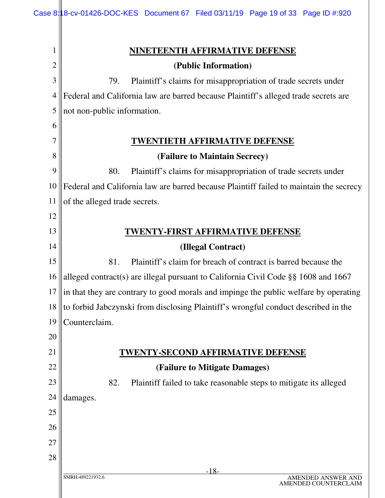| 1  | <b>NINETEENTH AFFIRMATIVE DEFENSE</b>                                                  |
|----|----------------------------------------------------------------------------------------|
| 2  | (Public Information)                                                                   |
| 3  | 79.<br>Plaintiff's claims for misappropriation of trade secrets under                  |
| 4  | Federal and California law are barred because Plaintiff's alleged trade secrets are    |
| 5  | not non-public information.                                                            |
| 6  |                                                                                        |
| 7  | WENTIETH AFFIRMATIVE DEFENSE                                                           |
| 8  | (Failure to Maintain Secrecy)                                                          |
| 9  | 80.<br>Plaintiff's claims for misappropriation of trade secrets under                  |
| 10 | Federal and California law are barred because Plaintiff failed to maintain the secrecy |
| 11 | of the alleged trade secrets.                                                          |
| 12 |                                                                                        |
| 13 | <b>WENTY-FIRST AFFIRMATIVE DEFENSE</b>                                                 |
| 14 | (Illegal Contract)                                                                     |
| 15 | 81.<br>Plaintiff's claim for breach of contract is barred because the                  |
| 16 | alleged contract(s) are illegal pursuant to California Civil Code $\S$ § 1608 and 1667 |
| 17 | in that they are contrary to good morals and impinge the public welfare by operating   |
| 18 | to forbid Jabczynski from disclosing Plaintiff's wrongful conduct described in the     |
| 19 | Counterclaim.                                                                          |
| 20 |                                                                                        |
| 21 | <u>TWENTY-SECOND AFFIRMATIVE DEFENSE</u>                                               |
| 22 | (Failure to Mitigate Damages)                                                          |
| 23 | 82.<br>Plaintiff failed to take reasonable steps to mitigate its alleged               |
| 24 | damages.                                                                               |
| 25 |                                                                                        |
| 26 |                                                                                        |
| 27 |                                                                                        |
| 28 |                                                                                        |
|    | $-18-$<br>SMRH:489221932.6<br>AMENDED ANSWER AND<br>AMENDED COUNTERCLAIM               |

 $\parallel$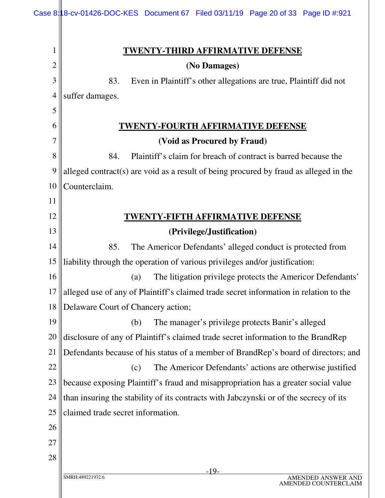|                | Case 8:18-cv-01426-DOC-KES Document 67 Filed 03/11/19 Page 20 of 33 Page ID #:921     |
|----------------|---------------------------------------------------------------------------------------|
| 1              | <u>TWENTY-THIRD AFFIRMATIVE DEFENSE</u>                                               |
| $\overline{2}$ | (No Damages)                                                                          |
| $\mathfrak{Z}$ | 83.<br>Even in Plaintiff's other allegations are true, Plaintiff did not              |
| $\overline{4}$ | suffer damages.                                                                       |
| 5              |                                                                                       |
| 6              | WENTY-FOURTH AFFIRMATIVE DEFENSE                                                      |
| 7              | (Void as Procured by Fraud)                                                           |
| 8              | 84.<br>Plaintiff's claim for breach of contract is barred because the                 |
| 9              | alleged contract(s) are void as a result of being procured by fraud as alleged in the |
| 10             | Counterclaim.                                                                         |
| 11             |                                                                                       |
| 12             | <u>'WENTY-FIFTH AFFIRMATIVE DEFENSE</u>                                               |
| 13             | (Privilege/Justification)                                                             |
| 14             | 85.<br>The Americor Defendants' alleged conduct is protected from                     |
| 15             | liability through the operation of various privileges and/or justification:           |
| 16             | The litigation privilege protects the Americor Defendants'<br>(a)                     |
| 17             | alleged use of any of Plaintiff's claimed trade secret information in relation to the |
| 18             | Delaware Court of Chancery action;                                                    |
| 19             | The manager's privilege protects Banir's alleged<br>(b)                               |
| 20             | disclosure of any of Plaintiff's claimed trade secret information to the BrandRep     |
| 21             | Defendants because of his status of a member of BrandRep's board of directors; and    |
| 22             | The Americor Defendants' actions are otherwise justified<br>(c)                       |
| 23             | because exposing Plaintiff's fraud and misappropriation has a greater social value    |
| 24             | than insuring the stability of its contracts with Jabczynski or of the secrecy of its |
| 25             | claimed trade secret information.                                                     |
| 26             |                                                                                       |
| 27             |                                                                                       |
| 28             |                                                                                       |
|                | $-19-$<br>SMRH:489221932.6<br>AMENDED ANSWER AND                                      |

 $\mathsf{I}$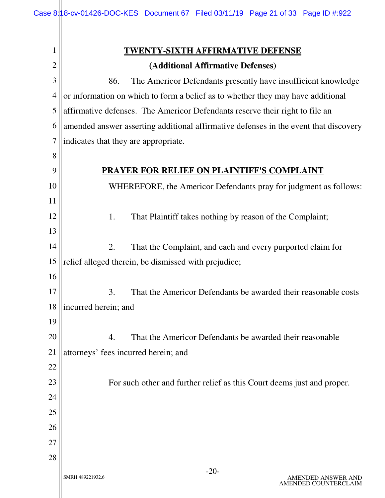|                | <b>TWENTY-SIXTH AFFIRMATIVE DEFENSE</b>                                              |
|----------------|--------------------------------------------------------------------------------------|
| $\overline{c}$ | (Additional Affirmative Defenses)                                                    |
| 3              | 86.<br>The Americor Defendants presently have insufficient knowledge                 |
| $\overline{4}$ | or information on which to form a belief as to whether they may have additional      |
| 5              | affirmative defenses. The Americor Defendants reserve their right to file an         |
| 6              | amended answer asserting additional affirmative defenses in the event that discovery |
| 7              | indicates that they are appropriate.                                                 |
| 8              |                                                                                      |
| 9              | <b>PRAYER FOR RELIEF ON PLAINTIFF'S COMPLAINT</b>                                    |
| 10             | WHEREFORE, the Americor Defendants pray for judgment as follows:                     |
| 11             |                                                                                      |
| 12             | 1.<br>That Plaintiff takes nothing by reason of the Complaint;                       |
| 13             |                                                                                      |
| 14             | That the Complaint, and each and every purported claim for<br>2.                     |
| 15             | relief alleged therein, be dismissed with prejudice;                                 |
| 16             |                                                                                      |
| 17             | That the Americor Defendants be awarded their reasonable costs<br>3.                 |
| 18             | incurred herein; and                                                                 |
| 19             |                                                                                      |
| 20             | That the Americor Defendants be awarded their reasonable<br>4.                       |
| 21             | attorneys' fees incurred herein; and                                                 |
| 22             |                                                                                      |
| 23             | For such other and further relief as this Court deems just and proper.               |
| 24             |                                                                                      |
| 25             |                                                                                      |
| 26             |                                                                                      |
| 27             |                                                                                      |
| 28             | $-20$                                                                                |
|                | SMRH:489221932.6<br>AMENDED ANSWER AND<br>AMENDED COUNTERCLAIM                       |
|                |                                                                                      |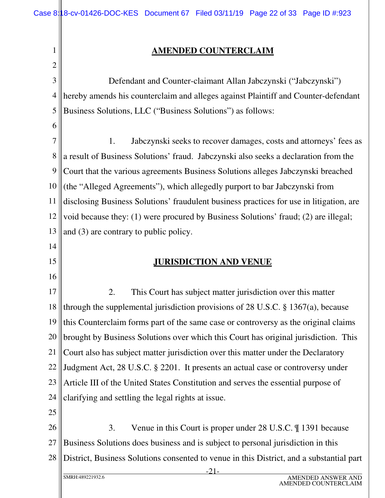#### **AMENDED COUNTERCLAIM**

3 4 5 Defendant and Counter-claimant Allan Jabczynski ("Jabczynski") hereby amends his counterclaim and alleges against Plaintiff and Counter-defendant Business Solutions, LLC ("Business Solutions") as follows:

6

14

15

16

1

2

7 8 9 10 11 12 13 1. Jabczynski seeks to recover damages, costs and attorneys' fees as a result of Business Solutions' fraud. Jabczynski also seeks a declaration from the Court that the various agreements Business Solutions alleges Jabczynski breached (the "Alleged Agreements"), which allegedly purport to bar Jabczynski from disclosing Business Solutions' fraudulent business practices for use in litigation, are void because they: (1) were procured by Business Solutions' fraud; (2) are illegal; and (3) are contrary to public policy.

#### **JURISDICTION AND VENUE**

17 18 19 20 21 22 23 24 2. This Court has subject matter jurisdiction over this matter through the supplemental jurisdiction provisions of 28 U.S.C. § 1367(a), because this Counterclaim forms part of the same case or controversy as the original claims brought by Business Solutions over which this Court has original jurisdiction. This Court also has subject matter jurisdiction over this matter under the Declaratory Judgment Act, 28 U.S.C. § 2201. It presents an actual case or controversy under Article III of the United States Constitution and serves the essential purpose of clarifying and settling the legal rights at issue.

25

26 27 28 3. Venue in this Court is proper under 28 U.S.C. ¶ 1391 because Business Solutions does business and is subject to personal jurisdiction in this District, Business Solutions consented to venue in this District, and a substantial part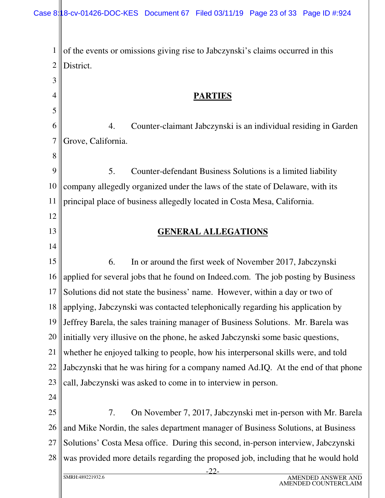1 2 3 of the events or omissions giving rise to Jabczynski's claims occurred in this District.

### **PARTIES**

6 7 4. Counter-claimant Jabczynski is an individual residing in Garden Grove, California.

9 10 11 5. Counter-defendant Business Solutions is a limited liability company allegedly organized under the laws of the state of Delaware, with its principal place of business allegedly located in Costa Mesa, California.

#### **GENERAL ALLEGATIONS**

15 16 17 18 19 20 21 22 23 24 6. In or around the first week of November 2017, Jabczynski applied for several jobs that he found on Indeed.com. The job posting by Business Solutions did not state the business' name. However, within a day or two of applying, Jabczynski was contacted telephonically regarding his application by Jeffrey Barela, the sales training manager of Business Solutions. Mr. Barela was initially very illusive on the phone, he asked Jabczynski some basic questions, whether he enjoyed talking to people, how his interpersonal skills were, and told Jabczynski that he was hiring for a company named Ad.IQ. At the end of that phone call, Jabczynski was asked to come in to interview in person.

25 26 27 28 7. On November 7, 2017, Jabczynski met in-person with Mr. Barela and Mike Nordin, the sales department manager of Business Solutions, at Business Solutions' Costa Mesa office. During this second, in-person interview, Jabczynski was provided more details regarding the proposed job, including that he would hold

4

5

8

12

13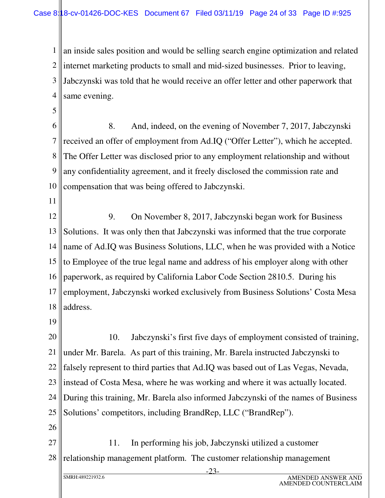1 2 3 4 an inside sales position and would be selling search engine optimization and related internet marketing products to small and mid-sized businesses. Prior to leaving, Jabczynski was told that he would receive an offer letter and other paperwork that same evening.

- 6 7 8 9 10 8. And, indeed, on the evening of November 7, 2017, Jabczynski received an offer of employment from Ad.IQ ("Offer Letter"), which he accepted. The Offer Letter was disclosed prior to any employment relationship and without any confidentiality agreement, and it freely disclosed the commission rate and compensation that was being offered to Jabczynski.
- 11

5

12 13 14 15 16 17 18 9. On November 8, 2017, Jabczynski began work for Business Solutions. It was only then that Jabczynski was informed that the true corporate name of Ad.IQ was Business Solutions, LLC, when he was provided with a Notice to Employee of the true legal name and address of his employer along with other paperwork, as required by California Labor Code Section 2810.5. During his employment, Jabczynski worked exclusively from Business Solutions' Costa Mesa address.

19

20 21 22 23 24 25 26 10. Jabczynski's first five days of employment consisted of training, under Mr. Barela. As part of this training, Mr. Barela instructed Jabczynski to falsely represent to third parties that Ad.IQ was based out of Las Vegas, Nevada, instead of Costa Mesa, where he was working and where it was actually located. During this training, Mr. Barela also informed Jabczynski of the names of Business Solutions' competitors, including BrandRep, LLC ("BrandRep").

27 28 11. In performing his job, Jabczynski utilized a customer relationship management platform. The customer relationship management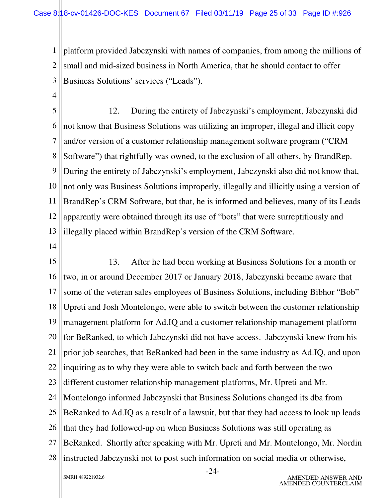1 2 3 platform provided Jabczynski with names of companies, from among the millions of small and mid-sized business in North America, that he should contact to offer Business Solutions' services ("Leads").

4

5 6 7 8 9 10 11 12 13 12. During the entirety of Jabczynski's employment, Jabczynski did not know that Business Solutions was utilizing an improper, illegal and illicit copy and/or version of a customer relationship management software program ("CRM Software") that rightfully was owned, to the exclusion of all others, by BrandRep. During the entirety of Jabczynski's employment, Jabczynski also did not know that, not only was Business Solutions improperly, illegally and illicitly using a version of BrandRep's CRM Software, but that, he is informed and believes, many of its Leads apparently were obtained through its use of "bots" that were surreptitiously and illegally placed within BrandRep's version of the CRM Software.

14

15 16 17 18 19 20 21 22 23 24 25 26 27 28 13. After he had been working at Business Solutions for a month or two, in or around December 2017 or January 2018, Jabczynski became aware that some of the veteran sales employees of Business Solutions, including Bibhor "Bob" Upreti and Josh Montelongo, were able to switch between the customer relationship management platform for Ad.IQ and a customer relationship management platform for BeRanked, to which Jabczynski did not have access. Jabczynski knew from his prior job searches, that BeRanked had been in the same industry as Ad.IQ, and upon inquiring as to why they were able to switch back and forth between the two different customer relationship management platforms, Mr. Upreti and Mr. Montelongo informed Jabczynski that Business Solutions changed its dba from BeRanked to Ad.IQ as a result of a lawsuit, but that they had access to look up leads that they had followed-up on when Business Solutions was still operating as BeRanked. Shortly after speaking with Mr. Upreti and Mr. Montelongo, Mr. Nordin instructed Jabczynski not to post such information on social media or otherwise,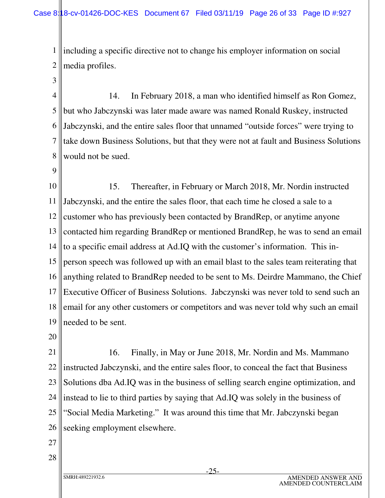1 2 including a specific directive not to change his employer information on social media profiles.

4 5 6 7 8 14. In February 2018, a man who identified himself as Ron Gomez, but who Jabczynski was later made aware was named Ronald Ruskey, instructed Jabczynski, and the entire sales floor that unnamed "outside forces" were trying to take down Business Solutions, but that they were not at fault and Business Solutions would not be sued.

9

3

10 11 12 13 14 15 16 17 18 19 15. Thereafter, in February or March 2018, Mr. Nordin instructed Jabczynski, and the entire the sales floor, that each time he closed a sale to a customer who has previously been contacted by BrandRep, or anytime anyone contacted him regarding BrandRep or mentioned BrandRep, he was to send an email to a specific email address at Ad.IQ with the customer's information. This inperson speech was followed up with an email blast to the sales team reiterating that anything related to BrandRep needed to be sent to Ms. Deirdre Mammano, the Chief Executive Officer of Business Solutions. Jabczynski was never told to send such an email for any other customers or competitors and was never told why such an email needed to be sent.

20

21 22 23 24 25 26 16. Finally, in May or June 2018, Mr. Nordin and Ms. Mammano instructed Jabczynski, and the entire sales floor, to conceal the fact that Business Solutions dba Ad.IQ was in the business of selling search engine optimization, and instead to lie to third parties by saying that Ad.IQ was solely in the business of "Social Media Marketing." It was around this time that Mr. Jabczynski began seeking employment elsewhere.

27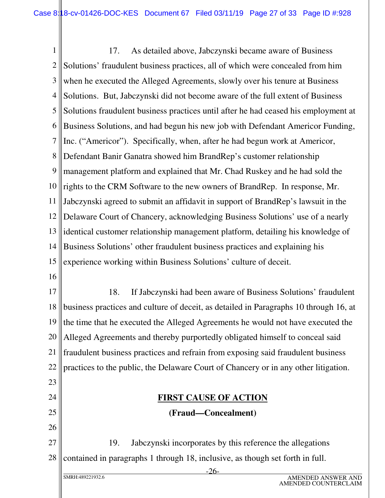1 2 3 4 5 6 7 8 9 10 11 12 13 14 15 16 17 18 19 20 17. As detailed above, Jabczynski became aware of Business Solutions' fraudulent business practices, all of which were concealed from him when he executed the Alleged Agreements, slowly over his tenure at Business Solutions. But, Jabczynski did not become aware of the full extent of Business Solutions fraudulent business practices until after he had ceased his employment at Business Solutions, and had begun his new job with Defendant Americor Funding, Inc. ("Americor"). Specifically, when, after he had begun work at Americor, Defendant Banir Ganatra showed him BrandRep's customer relationship management platform and explained that Mr. Chad Ruskey and he had sold the rights to the CRM Software to the new owners of BrandRep. In response, Mr. Jabczynski agreed to submit an affidavit in support of BrandRep's lawsuit in the Delaware Court of Chancery, acknowledging Business Solutions' use of a nearly identical customer relationship management platform, detailing his knowledge of Business Solutions' other fraudulent business practices and explaining his experience working within Business Solutions' culture of deceit. 18. If Jabczynski had been aware of Business Solutions' fraudulent business practices and culture of deceit, as detailed in Paragraphs 10 through 16, at the time that he executed the Alleged Agreements he would not have executed the Alleged Agreements and thereby purportedly obligated himself to conceal said

21 22 fraudulent business practices and refrain from exposing said fraudulent business practices to the public, the Delaware Court of Chancery or in any other litigation.

## **FIRST CAUSE OF ACTION (Fraud—Concealment)**

27 28 19. Jabczynski incorporates by this reference the allegations contained in paragraphs 1 through 18, inclusive, as though set forth in full.

23

24

25

26

-26-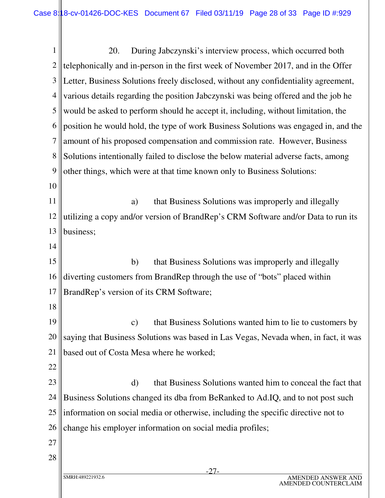-27- 1 2 3 4 5 6 7 8 9 10 11 12 13 14 15 16 17 18 19 20 21 22 23 24 25 26 27 28 20. During Jabczynski's interview process, which occurred both telephonically and in-person in the first week of November 2017, and in the Offer Letter, Business Solutions freely disclosed, without any confidentiality agreement, various details regarding the position Jabczynski was being offered and the job he would be asked to perform should he accept it, including, without limitation, the position he would hold, the type of work Business Solutions was engaged in, and the amount of his proposed compensation and commission rate. However, Business Solutions intentionally failed to disclose the below material adverse facts, among other things, which were at that time known only to Business Solutions: a) that Business Solutions was improperly and illegally utilizing a copy and/or version of BrandRep's CRM Software and/or Data to run its business; b) that Business Solutions was improperly and illegally diverting customers from BrandRep through the use of "bots" placed within BrandRep's version of its CRM Software; c) that Business Solutions wanted him to lie to customers by saying that Business Solutions was based in Las Vegas, Nevada when, in fact, it was based out of Costa Mesa where he worked; d) that Business Solutions wanted him to conceal the fact that Business Solutions changed its dba from BeRanked to Ad.IQ, and to not post such information on social media or otherwise, including the specific directive not to change his employer information on social media profiles;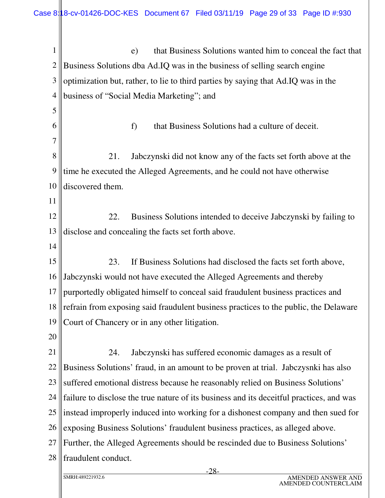| 1              | that Business Solutions wanted him to conceal the fact that<br>e)                        |  |
|----------------|------------------------------------------------------------------------------------------|--|
| $\overline{2}$ | Business Solutions dba Ad.IQ was in the business of selling search engine                |  |
| 3              | optimization but, rather, to lie to third parties by saying that Ad.IQ was in the        |  |
| $\overline{4}$ | business of "Social Media Marketing"; and                                                |  |
| 5              |                                                                                          |  |
| 6              | f)<br>that Business Solutions had a culture of deceit.                                   |  |
| 7              |                                                                                          |  |
| 8              | 21.<br>Jabczynski did not know any of the facts set forth above at the                   |  |
| 9              | time he executed the Alleged Agreements, and he could not have otherwise                 |  |
| 10             | discovered them.                                                                         |  |
| 11             |                                                                                          |  |
| 12             | Business Solutions intended to deceive Jabczynski by failing to<br>22.                   |  |
| 13             | disclose and concealing the facts set forth above.                                       |  |
| 14             |                                                                                          |  |
| 15             | If Business Solutions had disclosed the facts set forth above,<br>23.                    |  |
| 16             | Jabczynski would not have executed the Alleged Agreements and thereby                    |  |
| 17             | purportedly obligated himself to conceal said fraudulent business practices and          |  |
| 18             | refrain from exposing said fraudulent business practices to the public, the Delaware     |  |
| 19             | Court of Chancery or in any other litigation.                                            |  |
| 20             |                                                                                          |  |
| 21             | Jabczynski has suffered economic damages as a result of<br>24.                           |  |
| 22             | Business Solutions' fraud, in an amount to be proven at trial. Jabczysnki has also       |  |
| 23             | suffered emotional distress because he reasonably relied on Business Solutions'          |  |
| 24             | failure to disclose the true nature of its business and its deceitful practices, and was |  |
| 25             | instead improperly induced into working for a dishonest company and then sued for        |  |
| 26             | exposing Business Solutions' fraudulent business practices, as alleged above.            |  |
| 27             | Further, the Alleged Agreements should be rescinded due to Business Solutions'           |  |
| 28             | fraudulent conduct.                                                                      |  |
|                |                                                                                          |  |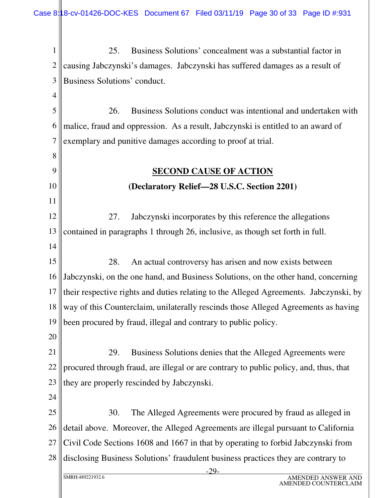-29- SMRH:489221932.6 AMENDED ANSWER AND AMENDED COUNTERCLAIM 1 2 3 4 5 6 7 8 9 10 11 12 13 14 15 16 17 18 19 20 21 22 23 24 25 26 27 28 25. Business Solutions' concealment was a substantial factor in causing Jabczynski's damages. Jabczynski has suffered damages as a result of Business Solutions' conduct. 26. Business Solutions conduct was intentional and undertaken with malice, fraud and oppression. As a result, Jabczynski is entitled to an award of exemplary and punitive damages according to proof at trial. **SECOND CAUSE OF ACTION (Declaratory Relief—28 U.S.C. Section 2201)** 27. Jabczynski incorporates by this reference the allegations contained in paragraphs 1 through 26, inclusive, as though set forth in full. 28. An actual controversy has arisen and now exists between Jabczynski, on the one hand, and Business Solutions, on the other hand, concerning their respective rights and duties relating to the Alleged Agreements. Jabczynski, by way of this Counterclaim, unilaterally rescinds those Alleged Agreements as having been procured by fraud, illegal and contrary to public policy. 29. Business Solutions denies that the Alleged Agreements were procured through fraud, are illegal or are contrary to public policy, and, thus, that they are properly rescinded by Jabczynski. 30. The Alleged Agreements were procured by fraud as alleged in detail above. Moreover, the Alleged Agreements are illegal pursuant to California Civil Code Sections 1608 and 1667 in that by operating to forbid Jabczynski from disclosing Business Solutions' fraudulent business practices they are contrary to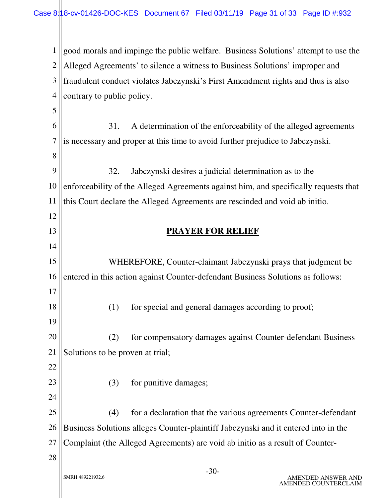1 2 3 4 5 6 7 8 9 10 11 12 13 14 15 16 17 18 19 20 21 22 23 24 good morals and impinge the public welfare. Business Solutions' attempt to use the Alleged Agreements' to silence a witness to Business Solutions' improper and fraudulent conduct violates Jabczynski's First Amendment rights and thus is also contrary to public policy. 31. A determination of the enforceability of the alleged agreements is necessary and proper at this time to avoid further prejudice to Jabczynski. 32. Jabczynski desires a judicial determination as to the enforceability of the Alleged Agreements against him, and specifically requests that this Court declare the Alleged Agreements are rescinded and void ab initio. **PRAYER FOR RELIEF** WHEREFORE, Counter-claimant Jabczynski prays that judgment be entered in this action against Counter-defendant Business Solutions as follows: (1) for special and general damages according to proof; (2) for compensatory damages against Counter-defendant Business Solutions to be proven at trial; (3) for punitive damages;

25 26 27 (4) for a declaration that the various agreements Counter-defendant Business Solutions alleges Counter-plaintiff Jabczynski and it entered into in the Complaint (the Alleged Agreements) are void ab initio as a result of Counter-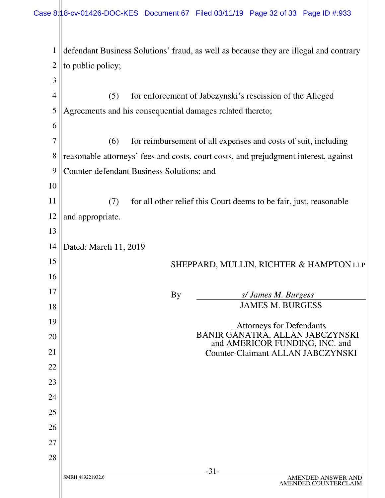-31- SMRH:489221932.6 AMENDED ANSWER AND AMENDED COUNTERCLAIM 1 2 3 4 5 6 7 8 9 10 11 12 13 14 15 16 17 18 19 20 21 22 23 24 25 26 27 28 defendant Business Solutions' fraud, as well as because they are illegal and contrary to public policy; (5) for enforcement of Jabczynski's rescission of the Alleged Agreements and his consequential damages related thereto; (6) for reimbursement of all expenses and costs of suit, including reasonable attorneys' fees and costs, court costs, and prejudgment interest, against Counter-defendant Business Solutions; and (7) for all other relief this Court deems to be fair, just, reasonable and appropriate. Dated: March 11, 2019 SHEPPARD, MULLIN, RICHTER & HAMPTON LLP By *s/ James M. Burgess* JAMES M. BURGESS Attorneys for Defendants BANIR GANATRA, ALLAN JABCZYNSKI and AMERICOR FUNDING, INC. and Counter-Claimant ALLAN JABCZYNSKI